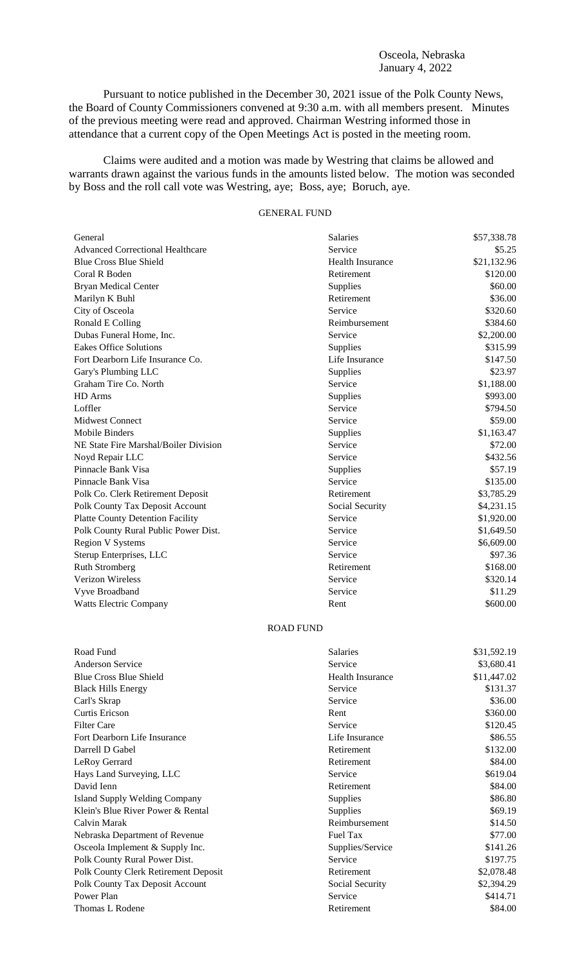## Osceola, Nebraska January 4, 2022

Pursuant to notice published in the December 30, 2021 issue of the Polk County News, the Board of County Commissioners convened at 9:30 a.m. with all members present. Minutes of the previous meeting were read and approved. Chairman Westring informed those in attendance that a current copy of the Open Meetings Act is posted in the meeting room.

Claims were audited and a motion was made by Westring that claims be allowed and warrants drawn against the various funds in the amounts listed below. The motion was seconded by Boss and the roll call vote was Westring, aye; Boss, aye; Boruch, aye.

## GENERAL FUND

| General                                 | <b>Salaries</b>         | \$57,338.78 |
|-----------------------------------------|-------------------------|-------------|
| <b>Advanced Correctional Healthcare</b> | Service                 | \$5.25      |
| <b>Blue Cross Blue Shield</b>           | <b>Health Insurance</b> | \$21,132.96 |
| Coral R Boden                           | Retirement              | \$120.00    |
| <b>Bryan Medical Center</b>             | Supplies                | \$60.00     |
| Marilyn K Buhl                          | Retirement              | \$36.00     |
| City of Osceola                         | Service                 | \$320.60    |
| Ronald E Colling                        | Reimbursement           | \$384.60    |
| Dubas Funeral Home, Inc.                | Service                 | \$2,200.00  |
| <b>Eakes Office Solutions</b>           | Supplies                | \$315.99    |
| Fort Dearborn Life Insurance Co.        | Life Insurance          | \$147.50    |
| Gary's Plumbing LLC                     | Supplies                | \$23.97     |
| Graham Tire Co. North                   | Service                 | \$1,188.00  |
| HD Arms                                 | Supplies                | \$993.00    |
| Loffler                                 | Service                 | \$794.50    |
| <b>Midwest Connect</b>                  | Service                 | \$59.00     |
| <b>Mobile Binders</b>                   | Supplies                | \$1,163.47  |
| NE State Fire Marshal/Boiler Division   | Service                 | \$72.00     |
| Noyd Repair LLC                         | Service                 | \$432.56    |
| Pinnacle Bank Visa                      | Supplies                | \$57.19     |
| Pinnacle Bank Visa                      | Service                 | \$135.00    |
| Polk Co. Clerk Retirement Deposit       | Retirement              | \$3,785.29  |
| Polk County Tax Deposit Account         | Social Security         | \$4,231.15  |
| <b>Platte County Detention Facility</b> | Service                 | \$1,920.00  |
| Polk County Rural Public Power Dist.    | Service                 | \$1,649.50  |
| <b>Region V Systems</b>                 | Service                 | \$6,609.00  |
| Sterup Enterprises, LLC                 | Service                 | \$97.36     |
| <b>Ruth Stromberg</b>                   | Retirement              | \$168.00    |
| <b>Verizon Wireless</b>                 | Service                 | \$320.14    |
| Vyve Broadband                          | Service                 | \$11.29     |
| <b>Watts Electric Company</b>           | Rent                    | \$600.00    |

## ROAD FUND

| Road Fund                            | Salaries         | \$31,592.19 |
|--------------------------------------|------------------|-------------|
| <b>Anderson Service</b>              | Service          | \$3,680.41  |
| <b>Blue Cross Blue Shield</b>        | Health Insurance | \$11,447.02 |
| <b>Black Hills Energy</b>            | Service          | \$131.37    |
| Carl's Skrap                         | Service          | \$36.00     |
| Curtis Ericson                       | Rent             | \$360.00    |
| <b>Filter Care</b>                   | Service          | \$120.45    |
| Fort Dearborn Life Insurance         | Life Insurance   | \$86.55     |
| Darrell D Gabel                      | Retirement       | \$132.00    |
| LeRoy Gerrard                        | Retirement       | \$84.00     |
| Hays Land Surveying, LLC             | Service          | \$619.04    |
| David Ienn                           | Retirement       | \$84.00     |
| Island Supply Welding Company        | Supplies         | \$86.80     |
| Klein's Blue River Power & Rental    | Supplies         | \$69.19     |
| Calvin Marak                         | Reimbursement    | \$14.50     |
| Nebraska Department of Revenue       | Fuel Tax         | \$77.00     |
| Osceola Implement & Supply Inc.      | Supplies/Service | \$141.26    |
| Polk County Rural Power Dist.        | Service          | \$197.75    |
| Polk County Clerk Retirement Deposit | Retirement       | \$2,078.48  |
| Polk County Tax Deposit Account      | Social Security  | \$2,394.29  |
| Power Plan                           | Service          | \$414.71    |
| Thomas L Rodene                      | Retirement       | \$84.00     |